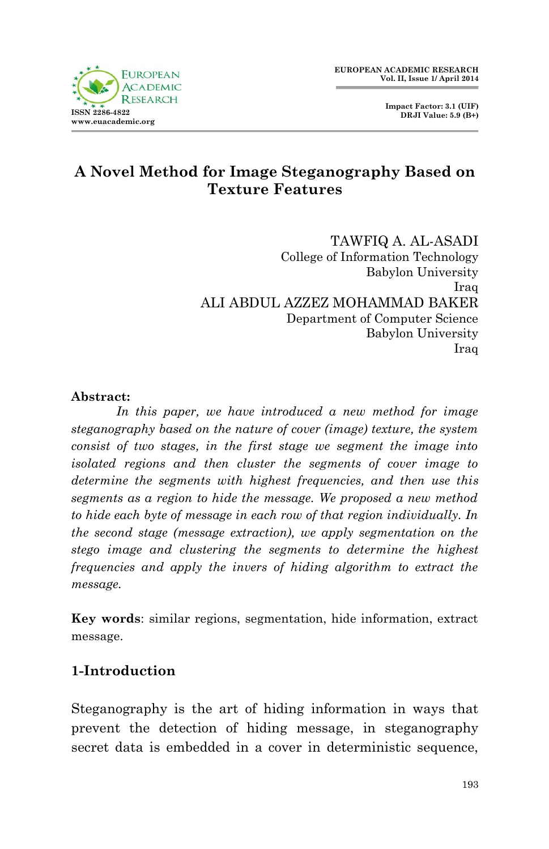

## **A Novel Method for Image Steganography Based on Texture Features**

TAWFIQ A. AL-ASADI College of Information Technology Babylon University Iraq ALI ABDUL AZZEZ MOHAMMAD BAKER Department of Computer Science Babylon University Iraq

#### **Abstract:**

*In this paper, we have introduced a new method for image steganography based on the nature of cover (image) texture, the system consist of two stages, in the first stage we segment the image into isolated regions and then cluster the segments of cover image to determine the segments with highest frequencies, and then use this segments as a region to hide the message. We proposed a new method to hide each byte of message in each row of that region individually. In the second stage (message extraction), we apply segmentation on the stego image and clustering the segments to determine the highest frequencies and apply the invers of hiding algorithm to extract the message.*

**Key words**: similar regions, segmentation, hide information, extract message.

## **1-Introduction**

Steganography is the art of hiding information in ways that prevent the detection of hiding message, in steganography secret data is embedded in a cover in deterministic sequence,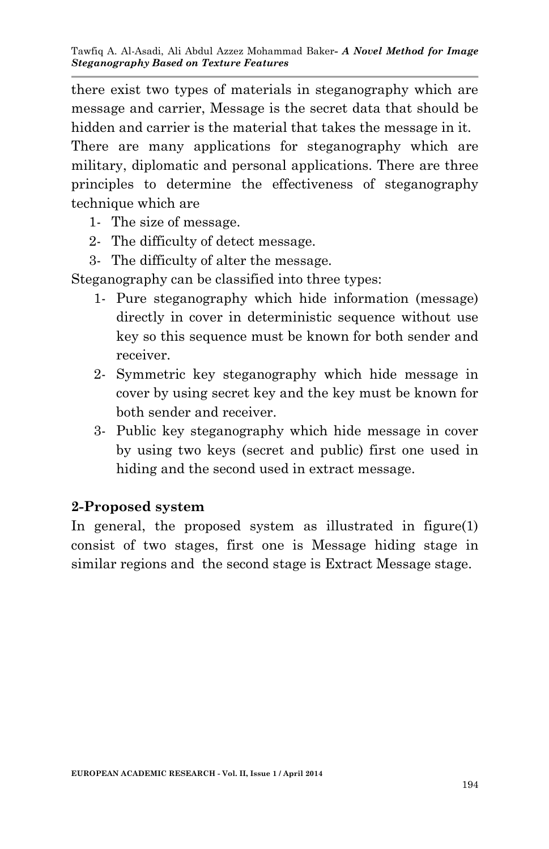there exist two types of materials in steganography which are message and carrier, Message is the secret data that should be hidden and carrier is the material that takes the message in it.

There are many applications for steganography which are military, diplomatic and personal applications. There are three principles to determine the effectiveness of steganography technique which are

- 1- The size of message.
- 2- The difficulty of detect message.
- 3- The difficulty of alter the message.

Steganography can be classified into three types:

- 1- Pure steganography which hide information (message) directly in cover in deterministic sequence without use key so this sequence must be known for both sender and receiver.
- 2- Symmetric key steganography which hide message in cover by using secret key and the key must be known for both sender and receiver.
- 3- Public key steganography which hide message in cover by using two keys (secret and public) first one used in hiding and the second used in extract message.

#### **2-Proposed system**

In general, the proposed system as illustrated in figure(1) consist of two stages, first one is Message hiding stage in similar regions and the second stage is Extract Message stage.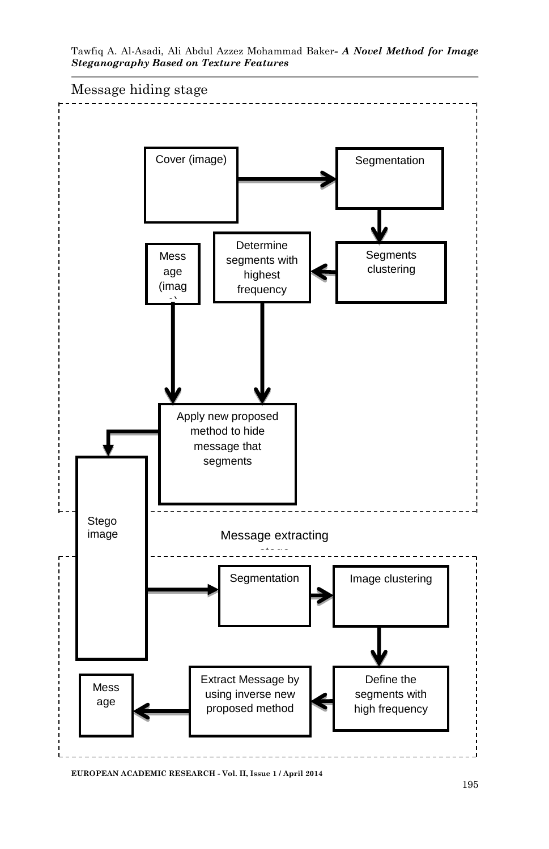

Tawfiq A. Al-Asadi, Ali Abdul Azzez Mohammad Baker*- A Novel Method for Image Steganography Based on Texture Features*

**EUROPEAN ACADEMIC RESEARCH - Vol. II, Issue 1 / April 2014**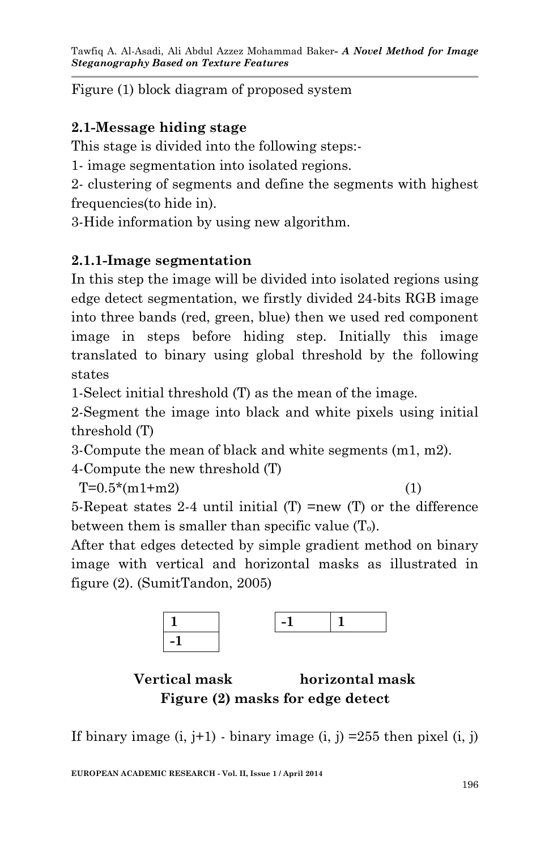Figure (1) block diagram of proposed system

# **2.1-Message hiding stage**

This stage is divided into the following steps:-

1- image segmentation into isolated regions.

2- clustering of segments and define the segments with highest frequencies(to hide in).

3-Hide information by using new algorithm.

# **2.1.1-Image segmentation**

In this step the image will be divided into isolated regions using edge detect segmentation, we firstly divided 24-bits RGB image into three bands (red, green, blue) then we used red component image in steps before hiding step. Initially this image translated to binary using global threshold by the following states

1-Select initial threshold (T) as the mean of the image.

2-Segment the image into black and white pixels using initial threshold (T)

3-Compute the mean of black and white segments (m1, m2).

4-Compute the new threshold (T)

 $T=0.5*(m1+m2)$  (1)

5-Repeat states 2-4 until initial (T) =new (T) or the difference between them is smaller than specific value  $(T_0)$ .

After that edges detected by simple gradient method on binary image with vertical and horizontal masks as illustrated in figure (2). (SumitTandon, 2005)



## **Vertical mask horizontal mask Figure (2) masks for edge detect**

If binary image  $(i, j+1)$  - binary image  $(i, j)$  =255 then pixel  $(i, j)$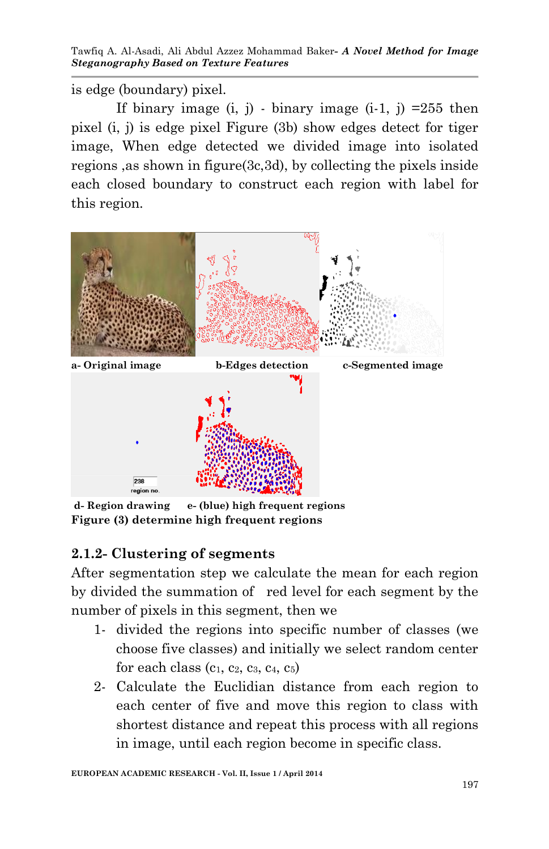Tawfiq A. Al-Asadi, Ali Abdul Azzez Mohammad Baker*- A Novel Method for Image Steganography Based on Texture Features*

is edge (boundary) pixel.

If binary image  $(i, j)$  - binary image  $(i-1, j)$  =255 then pixel (i, j) is edge pixel Figure (3b) show edges detect for tiger image, When edge detected we divided image into isolated regions ,as shown in figure(3c,3d), by collecting the pixels inside each closed boundary to construct each region with label for this region.



**d- Region drawing e- (blue) high frequent regions Figure (3) determine high frequent regions**

#### **2.1.2- Clustering of segments**

After segmentation step we calculate the mean for each region by divided the summation of red level for each segment by the number of pixels in this segment, then we

- 1- divided the regions into specific number of classes (we choose five classes) and initially we select random center for each class  $(c_1, c_2, c_3, c_4, c_5)$
- 2- Calculate the Euclidian distance from each region to each center of five and move this region to class with shortest distance and repeat this process with all regions in image, until each region become in specific class.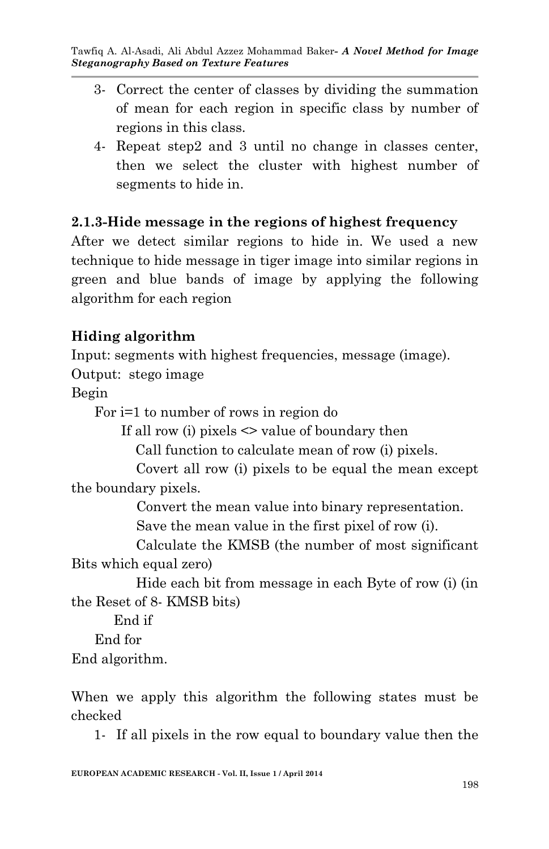- 3- Correct the center of classes by dividing the summation of mean for each region in specific class by number of regions in this class.
- 4- Repeat step2 and 3 until no change in classes center, then we select the cluster with highest number of segments to hide in.

## **2.1.3-Hide message in the regions of highest frequency**

After we detect similar regions to hide in. We used a new technique to hide message in tiger image into similar regions in green and blue bands of image by applying the following algorithm for each region

## **Hiding algorithm**

Input: segments with highest frequencies, message (image).

Output: stego image

Begin

For i=1 to number of rows in region do

If all row (i) pixels  $\leq$  value of boundary then

Call function to calculate mean of row (i) pixels.

 Covert all row (i) pixels to be equal the mean except the boundary pixels.

Convert the mean value into binary representation.

Save the mean value in the first pixel of row (i).

 Calculate the KMSB (the number of most significant Bits which equal zero)

 Hide each bit from message in each Byte of row (i) (in the Reset of 8- KMSB bits)

End if

End for

End algorithm.

When we apply this algorithm the following states must be checked

1- If all pixels in the row equal to boundary value then the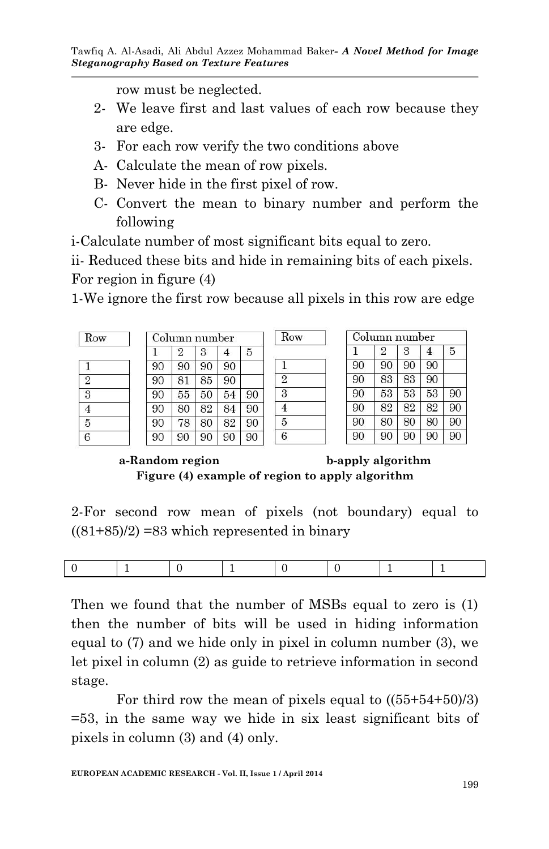row must be neglected.

- 2- We leave first and last values of each row because they are edge.
- 3- For each row verify the two conditions above
- A- Calculate the mean of row pixels.
- B- Never hide in the first pixel of row.
- C- Convert the mean to binary number and perform the following

i-Calculate number of most significant bits equal to zero.

ii- Reduced these bits and hide in remaining bits of each pixels. For region in figure (4)

1-We ignore the first row because all pixels in this row are edge

Row

 $\mathbf{1}$  $\overline{2}$ 

3  $\overline{4}$ 

5

6

| Row            |  |
|----------------|--|
|                |  |
| $\overline{2}$ |  |
| 3              |  |
|                |  |
| 5              |  |
| 6.             |  |

 $\mathbf{1}$ 90

 $90$ 90

90

90

90

|    | Column number  |    |    |    |
|----|----------------|----|----|----|
| 1. | $\overline{2}$ | 3  | 4  | 5  |
| 90 | 90             | 90 | 90 |    |
| 90 | 81             | 85 | 90 |    |
| 90 | 55             | 50 | 54 | 90 |
| 90 | 80             | 82 | 84 | 90 |
| 90 | 78             | 80 | 82 | 90 |
| 90 | 90             | 90 | 90 | 90 |

|    | Column number  |    |    |    |  |  |
|----|----------------|----|----|----|--|--|
| 1  | $\overline{2}$ | 3  | 4  | 5  |  |  |
| 90 | 90             | 90 | 90 |    |  |  |
| 90 | 83             | 83 | 90 |    |  |  |
| 90 | 53             | 53 | 53 | 90 |  |  |
| 90 | 82             | 82 | 82 | 90 |  |  |
| 90 | 80             | 80 | 80 | 90 |  |  |
| 90 | 90             | 90 | 90 | 90 |  |  |

**a-Random region b-apply algorithm Figure (4) example of region to apply algorithm**

2-For second row mean of pixels (not boundary) equal to  $((81+85)/2)$  =83 which represented in binary

Then we found that the number of MSBs equal to zero is (1) then the number of bits will be used in hiding information equal to (7) and we hide only in pixel in column number (3), we let pixel in column (2) as guide to retrieve information in second stage.

For third row the mean of pixels equal to  $((55+54+50)/3)$ =53, in the same way we hide in six least significant bits of pixels in column (3) and (4) only.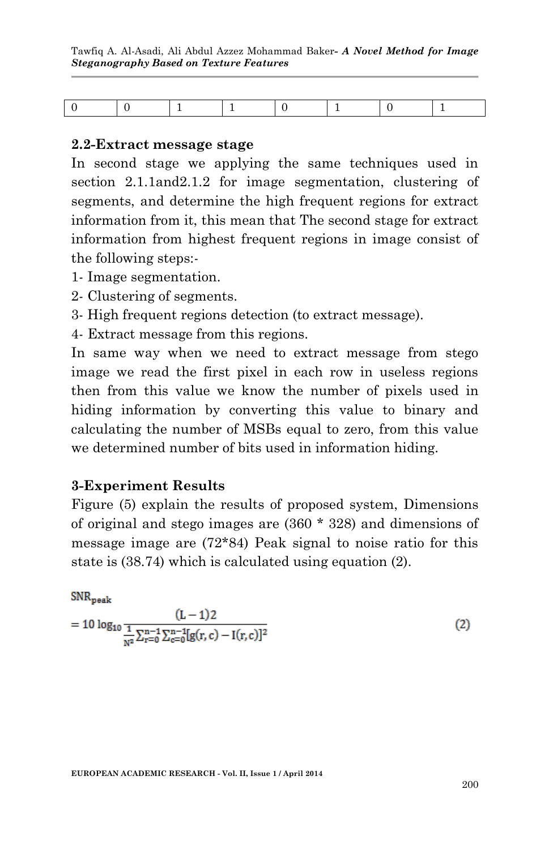Tawfiq A. Al-Asadi, Ali Abdul Azzez Mohammad Baker*- A Novel Method for Image Steganography Based on Texture Features*

|--|--|

#### **2.2-Extract message stage**

In second stage we applying the same techniques used in section 2.1.1and2.1.2 for image segmentation, clustering of segments, and determine the high frequent regions for extract information from it, this mean that The second stage for extract information from highest frequent regions in image consist of the following steps:-

- 1- Image segmentation.
- 2- Clustering of segments.
- 3- High frequent regions detection (to extract message).
- 4- Extract message from this regions.

In same way when we need to extract message from stego image we read the first pixel in each row in useless regions then from this value we know the number of pixels used in hiding information by converting this value to binary and calculating the number of MSBs equal to zero, from this value we determined number of bits used in information hiding.

#### **3-Experiment Results**

Figure (5) explain the results of proposed system, Dimensions of original and stego images are (360 \* 328) and dimensions of message image are (72\*84) Peak signal to noise ratio for this state is (38.74) which is calculated using equation (2).

#### $SNR_{\rm peak}$

$$
= 10 \log_{10} \frac{(L-1)2}{\frac{1}{N^2} \sum_{r=0}^{n-1} \sum_{c=0}^{n-1} [g(r, c) - I(r, c)]^2}
$$
(2)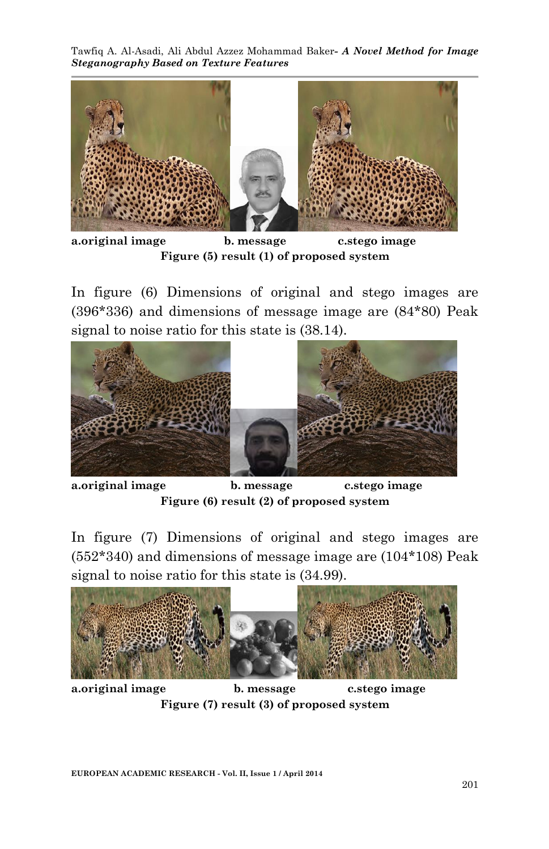Tawfiq A. Al-Asadi, Ali Abdul Azzez Mohammad Baker*- A Novel Method for Image Steganography Based on Texture Features*



**a.original image b. message c.stego image Figure (5) result (1) of proposed system**

In figure (6) Dimensions of original and stego images are (396\*336) and dimensions of message image are (84\*80) Peak signal to noise ratio for this state is (38.14).



**a.original image b. message c.stego image Figure (6) result (2) of proposed system**

In figure (7) Dimensions of original and stego images are (552\*340) and dimensions of message image are (104\*108) Peak signal to noise ratio for this state is (34.99).



**a.original image b. message c.stego image Figure (7) result (3) of proposed system**

**EUROPEAN ACADEMIC RESEARCH - Vol. II, Issue 1 / April 2014**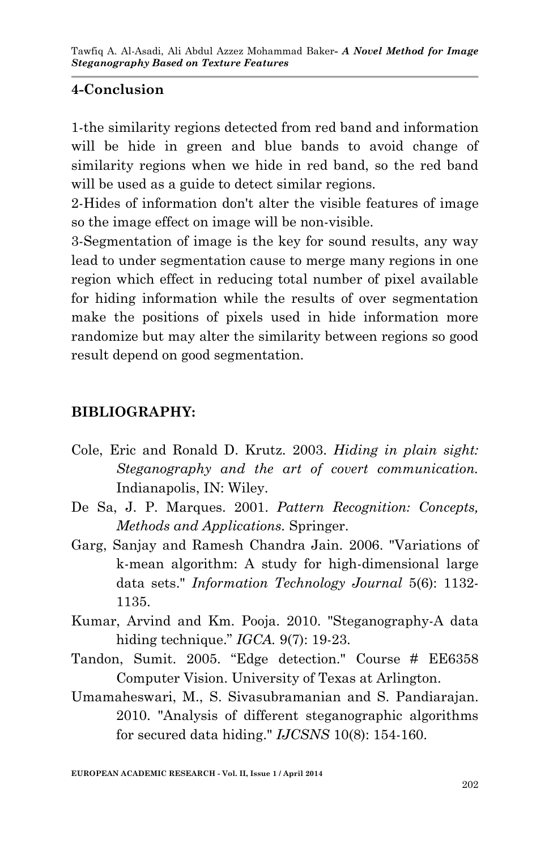### **4-Conclusion**

1-the similarity regions detected from red band and information will be hide in green and blue bands to avoid change of similarity regions when we hide in red band, so the red band will be used as a guide to detect similar regions.

2-Hides of information don't alter the visible features of image so the image effect on image will be non-visible.

3-Segmentation of image is the key for sound results, any way lead to under segmentation cause to merge many regions in one region which effect in reducing total number of pixel available for hiding information while the results of over segmentation make the positions of pixels used in hide information more randomize but may alter the similarity between regions so good result depend on good segmentation.

#### **BIBLIOGRAPHY:**

- Cole, Eric and Ronald D. Krutz. 2003. *Hiding in plain sight: Steganography and the art of covert communication.* Indianapolis, IN: Wiley.
- De Sa, J. P. Marques. 2001. *Pattern Recognition: Concepts, Methods and Applications.* Springer.
- Garg, Sanjay and Ramesh Chandra Jain. 2006. "Variations of k-mean algorithm: A study for high-dimensional large data sets." *Information Technology Journal* 5(6): 1132- 1135.
- Kumar, Arvind and Km. Pooja. 2010. "Steganography-A data hiding technique." *IGCA.* 9(7): 19-23.
- Tandon, Sumit. 2005. "Edge detection." Course # EE6358 Computer Vision. University of Texas at Arlington.
- Umamaheswari, M., S. Sivasubramanian and S. Pandiarajan. 2010. "Analysis of different steganographic algorithms for secured data hiding." *IJCSNS* 10(8): 154-160.